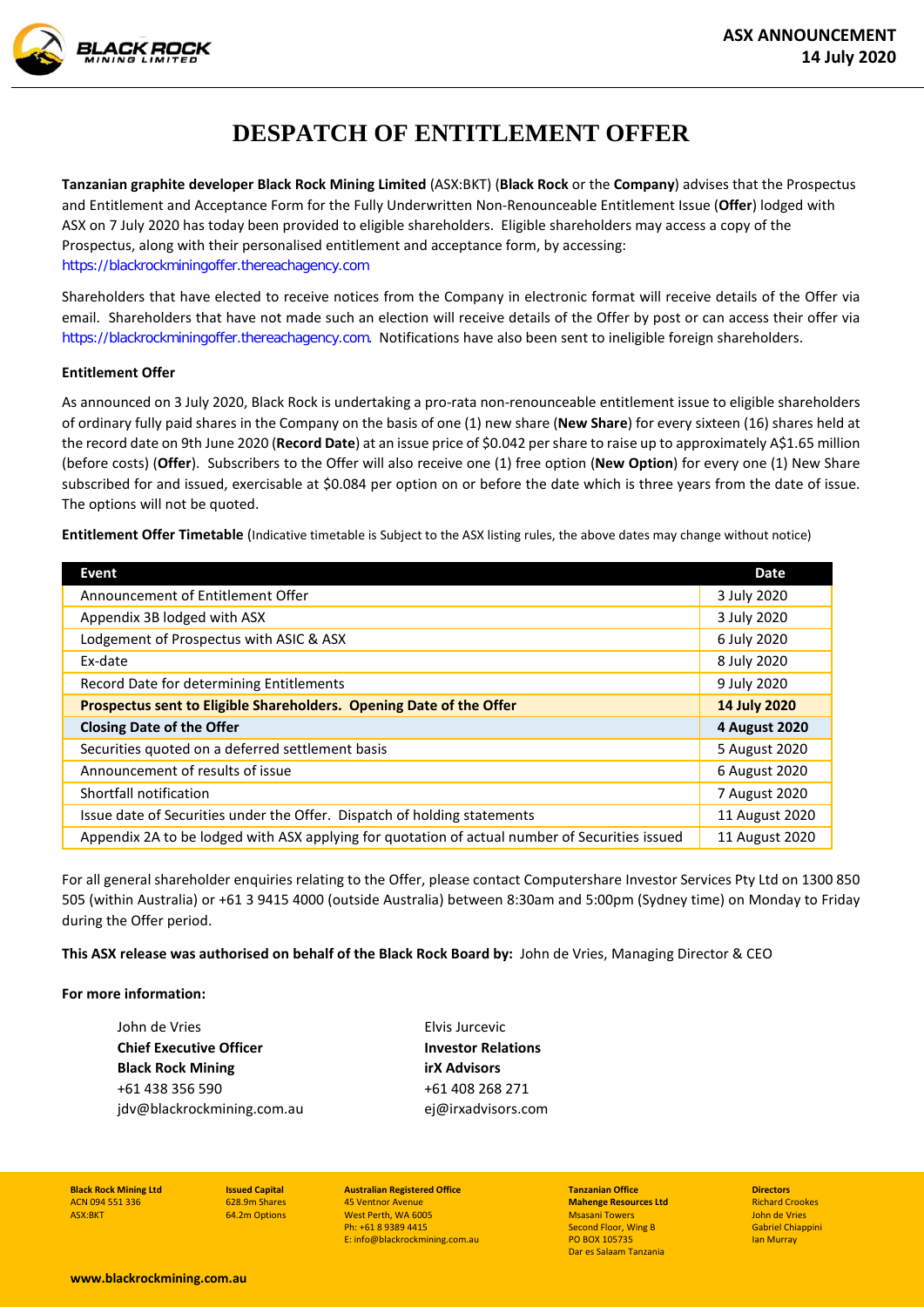

**Tanzanian graphite developer Black Rock Mining Limited** (ASX:BKT) (**Black Rock** or the **Company**) advises that the Prospectus and Entitlement and Acceptance Form for the Fully Underwritten Non-Renounceable Entitlement Issue (**Offer**) lodged with ASX on 7 July 2020 has today been provided to eligible shareholders. Eligible shareholders may access a copy of the Prospectus, along with their personalised entitlement and acceptance form, by accessing: [https://blackrockminingoffer.thereachagency.com](https://blackrockminingoffer.thereachagency.com/)

Shareholders that have elected to receive notices from the Company in electronic format will receive details of the Offer via email. Shareholders that have not made such an election will receive details of the Offer by post or can access their offer via [https://blackrockminingoffer.thereachagency.com](https://blackrockminingoffer.thereachagency.com/). Notifications have also been sent to ineligible foreign shareholders.

## **Entitlement Offer**

**ACK ROCK** 

As announced on 3 July 2020, Black Rock is undertaking a pro-rata non-renounceable entitlement issue to eligible shareholders of ordinary fully paid shares in the Company on the basis of one (1) new share (**New Share**) for every sixteen (16) shares held at the record date on 9th June 2020 (**Record Date**) at an issue price of \$0.042 per share to raise up to approximately A\$1.65 million (before costs) (**Offer**). Subscribers to the Offer will also receive one (1) free option (**New Option**) for every one (1) New Share subscribed for and issued, exercisable at \$0.084 per option on or before the date which is three years from the date of issue. The options will not be quoted.

**Entitlement Offer Timetable** (Indicative timetable is Subject to the ASX listing rules, the above dates may change without notice)

| Event                                                                                          | <b>Date</b>    |
|------------------------------------------------------------------------------------------------|----------------|
| Announcement of Entitlement Offer                                                              | 3 July 2020    |
| Appendix 3B lodged with ASX                                                                    | 3 July 2020    |
| Lodgement of Prospectus with ASIC & ASX                                                        | 6 July 2020    |
| Ex-date                                                                                        | 8 July 2020    |
| Record Date for determining Entitlements                                                       | 9 July 2020    |
| Prospectus sent to Eligible Shareholders. Opening Date of the Offer                            | 14 July 2020   |
| <b>Closing Date of the Offer</b>                                                               | 4 August 2020  |
| Securities quoted on a deferred settlement basis                                               | 5 August 2020  |
| Announcement of results of issue                                                               | 6 August 2020  |
| Shortfall notification                                                                         | 7 August 2020  |
| Issue date of Securities under the Offer. Dispatch of holding statements                       | 11 August 2020 |
| Appendix 2A to be lodged with ASX applying for quotation of actual number of Securities issued | 11 August 2020 |

For all general shareholder enquiries relating to the Offer, please contact Computershare Investor Services Pty Ltd on 1300 850 505 (within Australia) or +61 3 9415 4000 (outside Australia) between 8:30am and 5:00pm (Sydney time) on Monday to Friday during the Offer period.

**This ASX release was authorised on behalf of the Black Rock Board by:** John de Vries, Managing Director & CEO

## **For more information:**

John de Vries **Chief Executive Officer Black Rock Mining** +61 438 356 590 jdv@blackrockmining.com.au Elvis Jurcevic **Investor Relations irX Advisors**  +61 408 268 271 ej@irxadvisors.com

**Black Rock Mining Ltd** ACN 094 551 336 ASX:BKT

**Issued Capital** 628.9m Shares 64.2m Options

**Australian Registered Office** 45 Ventnor Avenue West Perth, WA 6005 Ph: +61 8 9389 4415 E: info@blackrockmining.com.au

**Tanzanian Office Mahenge Resources Ltd** Msasani Towers Second Floor, Wing B PO BOX 105735 Dar es Salaam Tanzania

**Directors** Richard Crookes John de Vries Gabriel Chiappini Ian Murray